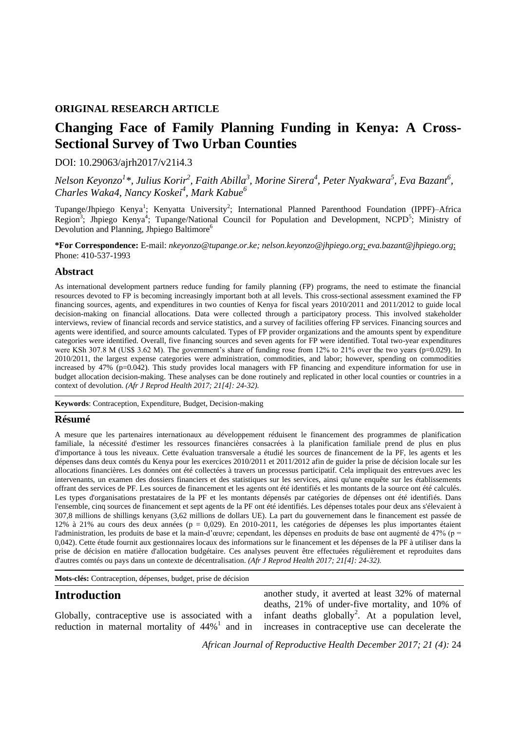#### **ORIGINAL RESEARCH ARTICLE**

# **Changing Face of Family Planning Funding in Kenya: A Cross-Sectional Survey of Two Urban Counties**

#### DOI: 10.29063/ajrh2017/v21i4.3

*Nelson Keyonzo<sup>1</sup> \*, Julius Korir<sup>2</sup> , Faith Abilla<sup>3</sup> , Morine Sirera<sup>4</sup> , Peter Nyakwara<sup>5</sup> , Eva Bazant<sup>6</sup> , Charles Waka4, Nancy Koskei<sup>4</sup> , Mark Kabue<sup>6</sup>*

Tupange/Jhpiego Kenya<sup>1</sup>; Kenyatta University<sup>2</sup>; International Planned Parenthood Foundation (IPPF)–Africa Region<sup>3</sup>; Jhpiego Kenya<sup>4</sup>; Tupange/National Council for Population and Development, NCPD<sup>5</sup>; Ministry of Devolution and Planning, Jhpiego Baltimore<sup>6</sup>

**\*For Correspondence:** E-mail: *nkeyonzo@tupange.or.ke; nelson.keyonzo@jhpiego.org*; *eva.bazant@jhpiego.org*; Phone: 410-537-1993

#### **Abstract**

As international development partners reduce funding for family planning (FP) programs, the need to estimate the financial resources devoted to FP is becoming increasingly important both at all levels. This cross-sectional assessment examined the FP financing sources, agents, and expenditures in two counties of Kenya for fiscal years 2010/2011 and 2011/2012 to guide local decision-making on financial allocations. Data were collected through a participatory process. This involved stakeholder interviews, review of financial records and service statistics, and a survey of facilities offering FP services. Financing sources and agents were identified, and source amounts calculated. Types of FP provider organizations and the amounts spent by expenditure categories were identified. Overall, five financing sources and seven agents for FP were identified. Total two-year expenditures were KSh 307.8 M (US\$ 3.62 M). The government's share of funding rose from 12% to 21% over the two years (p=0.029). In 2010/2011, the largest expense categories were administration, commodities, and labor; however, spending on commodities increased by 47% ( $p=0.042$ ). This study provides local managers with FP financing and expenditure information for use in budget allocation decision-making. These analyses can be done routinely and replicated in other local counties or countries in a context of devolution. *(Afr J Reprod Health 2017; 21[4]: 24-32).*

**Keywords**: Contraception, Expenditure, Budget, Decision-making

#### **Résumé**

A mesure que les partenaires internationaux au développement réduisent le financement des programmes de planification familiale, la nécessité d'estimer les ressources financières consacrées à la planification familiale prend de plus en plus d'importance à tous les niveaux. Cette évaluation transversale a étudié les sources de financement de la PF, les agents et les dépenses dans deux comtés du Kenya pour les exercices 2010/2011 et 2011/2012 afin de guider la prise de décision locale sur les allocations financières. Les données ont été collectées à travers un processus participatif. Cela impliquait des entrevues avec les intervenants, un examen des dossiers financiers et des statistiques sur les services, ainsi qu'une enquête sur les établissements offrant des services de PF. Les sources de financement et les agents ont été identifiés et les montants de la source ont été calculés. Les types d'organisations prestataires de la PF et les montants dépensés par catégories de dépenses ont été identifiés. Dans l'ensemble, cinq sources de financement et sept agents de la PF ont été identifiés. Les dépenses totales pour deux ans s'élevaient à 307,8 millions de shillings kenyans (3,62 millions de dollars UE). La part du gouvernement dans le financement est passée de 12% à 21% au cours des deux années ( $p = 0.029$ ). En 2010-2011, les catégories de dépenses les plus importantes étaient l'administration, les produits de base et la main-d'œuvre; cependant, les dépenses en produits de base ont augmenté de 47% (p = 0,042). Cette étude fournit aux gestionnaires locaux des informations sur le financement et les dépenses de la PF à utiliser dans la prise de décision en matière d'allocation budgétaire. Ces analyses peuvent être effectuées régulièrement et reproduites dans d'autres comtés ou pays dans un contexte de décentralisation. *(Afr J Reprod Health 2017; 21[4]: 24-32).*

**Mots-clés:** Contraception, dépenses, budget, prise de décision

#### **Introduction**

Globally, contraceptive use is associated with a reduction in maternal mortality of  $44\%$ <sup>1</sup> and in another study, it averted at least 32% of maternal deaths, 21% of under-five mortality, and 10% of infant deaths globally<sup>2</sup>. At a population level, increases in contraceptive use can decelerate the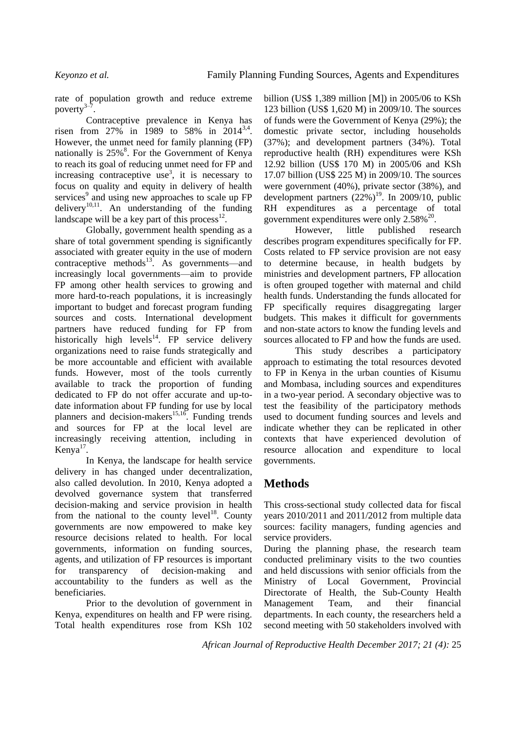rate of population growth and reduce extreme poverty $3$ – .

Contraceptive prevalence in Kenya has risen from  $27\%$  in 1989 to 58% in 2014<sup>3,4</sup>. However, the unmet need for family planning (FP) nationally is 25%<sup>8</sup>. For the Government of Kenya to reach its goal of reducing unmet need for FP and increasing contraceptive use<sup>3</sup>, it is necessary to focus on quality and equity in delivery of health services<sup>9</sup> and using new approaches to scale up FP delivery<sup>10,11</sup>. An understanding of the funding landscape will be a key part of this process $^{12}$ .

Globally, government health spending as a share of total government spending is significantly associated with greater equity in the use of modern contraceptive methods<sup>13</sup>. As governments—and increasingly local governments—aim to provide FP among other health services to growing and more hard-to-reach populations, it is increasingly important to budget and forecast program funding sources and costs. International development partners have reduced funding for FP from historically high levels $^{14}$ . FP service delivery organizations need to raise funds strategically and be more accountable and efficient with available funds. However, most of the tools currently available to track the proportion of funding dedicated to FP do not offer accurate and up-todate information about FP funding for use by local planners and decision-makers $15,16$ . Funding trends and sources for FP at the local level are increasingly receiving attention, including in Kenya $17$ .

In Kenya, the landscape for health service delivery in has changed under decentralization, also called devolution. In 2010, Kenya adopted a devolved governance system that transferred decision-making and service provision in health from the national to the county level<sup>18</sup>. County governments are now empowered to make key resource decisions related to health. For local governments, information on funding sources, agents, and utilization of FP resources is important for transparency of decision-making and accountability to the funders as well as the beneficiaries.

Prior to the devolution of government in Kenya, expenditures on health and FP were rising. Total health expenditures rose from KSh 102 billion (US\$ 1,389 million [M]) in 2005/06 to KSh 123 billion (US\$ 1,620 M) in 2009/10. The sources of funds were the Government of Kenya (29%); the domestic private sector, including households (37%); and development partners (34%). Total reproductive health (RH) expenditures were KSh 12.92 billion (US\$ 170 M) in 2005/06 and KSh 17.07 billion (US\$ 225 M) in 2009/10. The sources were government (40%), private sector (38%), and development partners  $(22%)^{19}$ . In 2009/10, public RH expenditures as a percentage of total government expenditures were only  $2.58\%^{20}$ .

However, little published research describes program expenditures specifically for FP. Costs related to FP service provision are not easy to determine because, in health budgets by ministries and development partners, FP allocation is often grouped together with maternal and child health funds. Understanding the funds allocated for FP specifically requires disaggregating larger budgets. This makes it difficult for governments and non-state actors to know the funding levels and sources allocated to FP and how the funds are used.

This study describes a participatory approach to estimating the total resources devoted to FP in Kenya in the urban counties of Kisumu and Mombasa, including sources and expenditures in a two-year period. A secondary objective was to test the feasibility of the participatory methods used to document funding sources and levels and indicate whether they can be replicated in other contexts that have experienced devolution of resource allocation and expenditure to local governments.

## **Methods**

This cross-sectional study collected data for fiscal years 2010/2011 and 2011/2012 from multiple data sources: facility managers, funding agencies and service providers.

During the planning phase, the research team conducted preliminary visits to the two counties and held discussions with senior officials from the Ministry of Local Government, Provincial Directorate of Health, the Sub-County Health Management Team, and their financial departments. In each county, the researchers held a second meeting with 50 stakeholders involved with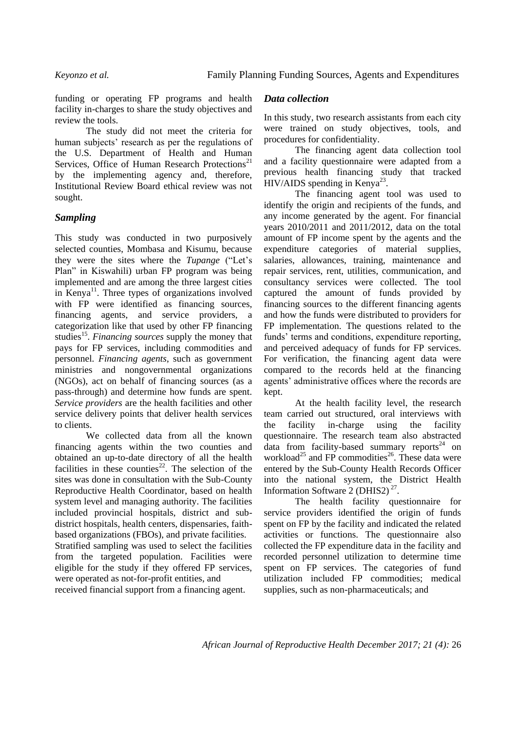funding or operating FP programs and health facility in-charges to share the study objectives and review the tools.

The study did not meet the criteria for human subjects' research as per the regulations of the U.S. Department of Health and Human Services, Office of Human Research Protections<sup>21</sup> by the implementing agency and, therefore, Institutional Review Board ethical review was not sought.

### *Sampling*

This study was conducted in two purposively selected counties, Mombasa and Kisumu, because they were the sites where the *Tupange* ("Let's Plan" in Kiswahili) urban FP program was being implemented and are among the three largest cities in Kenya<sup>11</sup>. Three types of organizations involved with FP were identified as financing sources, financing agents, and service providers, a categorization like that used by other FP financing studies<sup>15</sup>. Financing sources supply the money that pays for FP services, including commodities and personnel. *Financing agents*, such as government ministries and nongovernmental organizations (NGOs), act on behalf of financing sources (as a pass-through) and determine how funds are spent. *Service providers* are the health facilities and other service delivery points that deliver health services to clients.

We collected data from all the known financing agents within the two counties and obtained an up-to-date directory of all the health facilities in these counties $^{22}$ . The selection of the sites was done in consultation with the Sub-County Reproductive Health Coordinator, based on health system level and managing authority. The facilities included provincial hospitals, district and subdistrict hospitals, health centers, dispensaries, faithbased organizations (FBOs), and private facilities. Stratified sampling was used to select the facilities from the targeted population. Facilities were eligible for the study if they offered FP services, were operated as not-for-profit entities, and

received financial support from a financing agent.

#### *Data collection*

In this study, two research assistants from each city were trained on study objectives, tools, and procedures for confidentiality.

The financing agent data collection tool and a facility questionnaire were adapted from a previous health financing study that tracked  $HIV/AIDS$  spending in Kenya<sup>23</sup>.

The financing agent tool was used to identify the origin and recipients of the funds, and any income generated by the agent. For financial years 2010/2011 and 2011/2012, data on the total amount of FP income spent by the agents and the expenditure categories of material supplies, salaries, allowances, training, maintenance and repair services, rent, utilities, communication, and consultancy services were collected. The tool captured the amount of funds provided by financing sources to the different financing agents and how the funds were distributed to providers for FP implementation. The questions related to the funds' terms and conditions, expenditure reporting, and perceived adequacy of funds for FP services. For verification, the financing agent data were compared to the records held at the financing agents' administrative offices where the records are kept.

At the health facility level, the research team carried out structured, oral interviews with the facility in-charge using the facility questionnaire. The research team also abstracted data from facility-based summary reports<sup>24</sup> on workload<sup>25</sup> and FP commodities<sup>26</sup>. These data were entered by the Sub-County Health Records Officer into the national system, the District Health Information Software  $2$  (DHIS2)<sup>27</sup>.

The health facility questionnaire for service providers identified the origin of funds spent on FP by the facility and indicated the related activities or functions. The questionnaire also collected the FP expenditure data in the facility and recorded personnel utilization to determine time spent on FP services. The categories of fund utilization included FP commodities; medical supplies, such as non-pharmaceuticals; and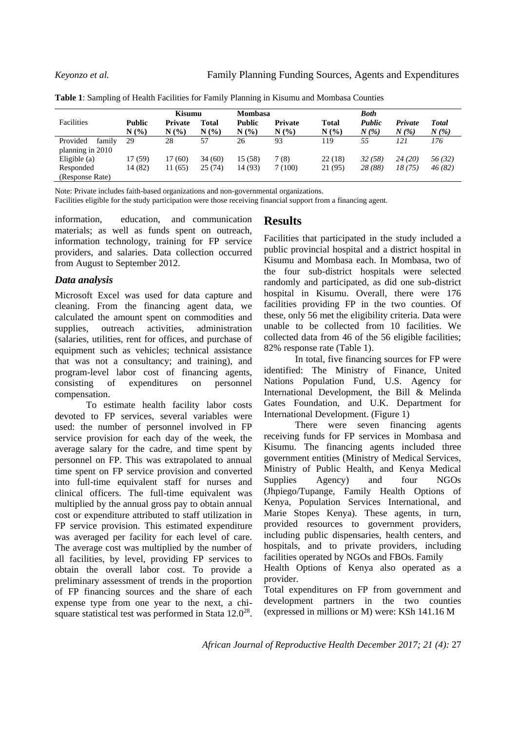|                    | Kisumu        |                |        | <b>Mombasa</b> |                |              | <b>Both</b> |         |              |
|--------------------|---------------|----------------|--------|----------------|----------------|--------------|-------------|---------|--------------|
| Facilities         | <b>Public</b> | <b>Private</b> | Total  | Public         | <b>Private</b> | <b>Total</b> | Public      | Private | <b>Total</b> |
|                    | N(%)          | N(%            | N(%    | N(%)           | N(%            | N(%)         | $N(\%)$     | N(%     | $N(\%)$      |
| Provided<br>family | 29            | 28             | 57     | 26             | 93             | 119          | 55          | 121     | 176          |
| planning in 2010   |               |                |        |                |                |              |             |         |              |
| Eligible $(a)$     | 17 (59)       | 17 (60)        | 34(60) | 15 (58)        | 7(8)           | 22(18)       | 32(58)      | 24(20)  | 56(32)       |
| Responded          | 14 (82)       | 11 (65)        | 25(74) | 14 (93)        | 7(100)         | 21 (95)      | 28 (88)     | 18 (75) | 46(82)       |
| (Response Rate)    |               |                |        |                |                |              |             |         |              |

**Table 1**: Sampling of Health Facilities for Family Planning in Kisumu and Mombasa Counties

Note: Private includes faith-based organizations and non-governmental organizations.

Facilities eligible for the study participation were those receiving financial support from a financing agent.

information, education, and communication materials; as well as funds spent on outreach, information technology, training for FP service providers, and salaries. Data collection occurred from August to September 2012.

#### *Data analysis*

Microsoft Excel was used for data capture and cleaning. From the financing agent data, we calculated the amount spent on commodities and supplies, outreach activities, administration (salaries, utilities, rent for offices, and purchase of equipment such as vehicles; technical assistance that was not a consultancy; and training), and program-level labor cost of financing agents, consisting of expenditures on personnel compensation.

To estimate health facility labor costs devoted to FP services, several variables were used: the number of personnel involved in FP service provision for each day of the week, the average salary for the cadre, and time spent by personnel on FP. This was extrapolated to annual time spent on FP service provision and converted into full-time equivalent staff for nurses and clinical officers. The full-time equivalent was multiplied by the annual gross pay to obtain annual cost or expenditure attributed to staff utilization in FP service provision. This estimated expenditure was averaged per facility for each level of care. The average cost was multiplied by the number of all facilities, by level, providing FP services to obtain the overall labor cost. To provide a preliminary assessment of trends in the proportion of FP financing sources and the share of each expense type from one year to the next, a chisquare statistical test was performed in Stata  $12.0^{28}$ .

## **Results**

Facilities that participated in the study included a public provincial hospital and a district hospital in Kisumu and Mombasa each. In Mombasa, two of the four sub-district hospitals were selected randomly and participated, as did one sub-district hospital in Kisumu. Overall, there were 176 facilities providing FP in the two counties. Of these, only 56 met the eligibility criteria. Data were unable to be collected from 10 facilities. We collected data from 46 of the 56 eligible facilities; 82% response rate (Table 1).

In total, five financing sources for FP were identified: The Ministry of Finance, United Nations Population Fund, U.S. Agency for International Development, the Bill & Melinda Gates Foundation, and U.K. Department for International Development. (Figure 1)

There were seven financing agents receiving funds for FP services in Mombasa and Kisumu. The financing agents included three government entities (Ministry of Medical Services, Ministry of Public Health, and Kenya Medical Supplies Agency) and four NGOs (Jhpiego/Tupange, Family Health Options of Kenya, Population Services International, and Marie Stopes Kenya). These agents, in turn, provided resources to government providers, including public dispensaries, health centers, and hospitals, and to private providers, including facilities operated by NGOs and FBOs. Family

Health Options of Kenya also operated as a provider.

Total expenditures on FP from government and development partners in the two counties (expressed in millions or M) were: KSh 141.16 M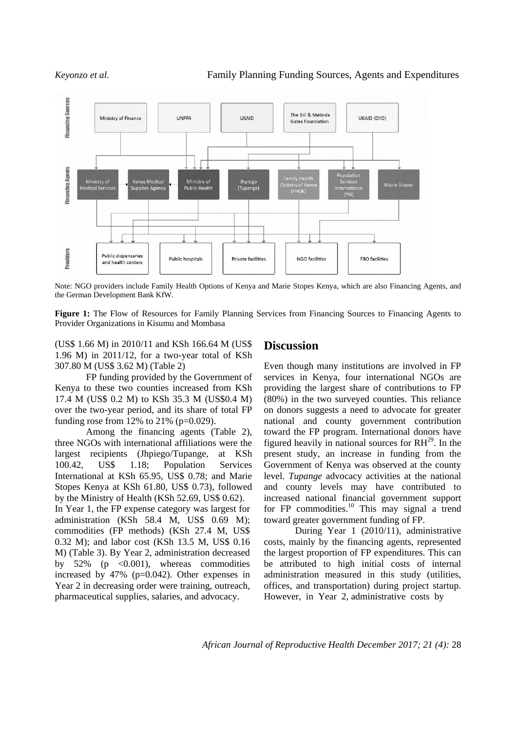

Note: NGO providers include Family Health Options of Kenya and Marie Stopes Kenya, which are also Financing Agents, and the German Development Bank KfW.

**Figure 1:** The Flow of Resources for Family Planning Services from Financing Sources to Financing Agents to Provider Organizations in Kisumu and Mombasa

(US\$ 1.66 M) in 2010/11 and KSh 166.64 M (US\$ 1.96 M) in 2011/12, for a two-year total of KSh 307.80 M (US\$ 3.62 M) (Table 2)

FP funding provided by the Government of Kenya to these two counties increased from KSh 17.4 M (US\$ 0.2 M) to KSh 35.3 M (US\$0.4 M) over the two-year period, and its share of total FP funding rose from 12% to 21% ( $p=0.029$ ).

Among the financing agents (Table 2), three NGOs with international affiliations were the largest recipients (Jhpiego/Tupange, at KSh 100.42, US\$ 1.18; Population Services International at KSh 65.95, US\$ 0.78; and Marie Stopes Kenya at KSh 61.80, US\$ 0.73), followed by the Ministry of Health (KSh 52.69, US\$ 0.62). In Year 1, the FP expense category was largest for administration (KSh 58.4 M, US\$ 0.69 M); commodities (FP methods) (KSh 27.4 M, US\$ 0.32 M); and labor cost (KSh 13.5 M, US\$ 0.16 M) (Table 3). By Year 2, administration decreased by  $52\%$  (p  $\lt 0.001$ ), whereas commodities increased by 47% (p=0.042). Other expenses in Year 2 in decreasing order were training, outreach, pharmaceutical supplies, salaries, and advocacy.

#### **Discussion**

Even though many institutions are involved in FP services in Kenya, four international NGOs are providing the largest share of contributions to FP (80%) in the two surveyed counties. This reliance on donors suggests a need to advocate for greater national and county government contribution toward the FP program. International donors have figured heavily in national sources for  $RH^{29}$ . In the present study, an increase in funding from the Government of Kenya was observed at the county level. *Tupange* advocacy activities at the national and county levels may have contributed to increased national financial government support for  $FP$  commodities.<sup>10</sup> This may signal a trend toward greater government funding of FP.

During Year 1 (2010/11), administrative costs, mainly by the financing agents, represented the largest proportion of FP expenditures. This can be attributed to high initial costs of internal administration measured in this study (utilities, offices, and transportation) during project startup. However, in Year 2, administrative costs by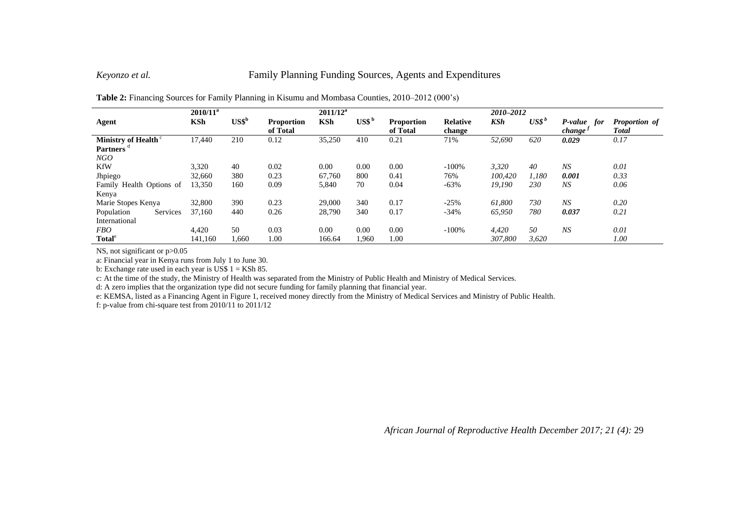#### *Keyonzo et al.* Family Planning Funding Sources, Agents and Expenditures

|                                 | $2010/11^a$ |                  |                               | $2011/12^a$ |                             |                               |                           | 2010-2012 |         |                                       |                        |
|---------------------------------|-------------|------------------|-------------------------------|-------------|-----------------------------|-------------------------------|---------------------------|-----------|---------|---------------------------------------|------------------------|
| Agent                           | <b>KSh</b>  | USS <sup>b</sup> | <b>Proportion</b><br>of Total | <b>KSh</b>  | $\mathbf{USS}^{\mathbf{b}}$ | <b>Proportion</b><br>of Total | <b>Relative</b><br>change | KSh       | $USS^b$ | P-value<br>for<br>change <sup>s</sup> | Proportion of<br>Total |
| Ministry of Health <sup>c</sup> | 17,440      | 210              | 0.12                          | 35,250      | 410                         | 0.21                          | 71%                       | 52,690    | 620     | 0.029                                 | 0.17                   |
| <b>Partners</b>                 |             |                  |                               |             |                             |                               |                           |           |         |                                       |                        |
| NGO                             |             |                  |                               |             |                             |                               |                           |           |         |                                       |                        |
| <b>KfW</b>                      | 3,320       | 40               | 0.02                          | 0.00        | 0.00                        | 0.00                          | $-100%$                   | 3,320     | 40      | NS                                    | 0.01                   |
| Jhpiego                         | 32,660      | 380              | 0.23                          | 67,760      | 800                         | 0.41                          | 76%                       | 100,420   | 1,180   | 0.001                                 | 0.33                   |
| Family Health Options of        | 13,350      | 160              | 0.09                          | 5,840       | 70                          | 0.04                          | $-63%$                    | 19,190    | 230     | NS                                    | 0.06                   |
| Kenya                           |             |                  |                               |             |                             |                               |                           |           |         |                                       |                        |
| Marie Stopes Kenya              | 32,800      | 390              | 0.23                          | 29,000      | 340                         | 0.17                          | $-25%$                    | 61.800    | 730     | NS                                    | 0.20                   |
| Population<br>Services          | 37.160      | 440              | 0.26                          | 28,790      | 340                         | 0.17                          | $-34%$                    | 65,950    | 780     | 0.037                                 | 0.21                   |
| International                   |             |                  |                               |             |                             |                               |                           |           |         |                                       |                        |
| <i>FBO</i>                      | 4,420       | 50               | 0.03                          | 0.00        | 0.00                        | 0.00                          | $-100%$                   | 4,420     | 50      | NS                                    | 0.01                   |
| Total <sup>e</sup>              | 141.160     | 1,660            | $1.00\,$                      | 166.64      | l,960                       | 1.00                          |                           | 307,800   | 3,620   |                                       | 1.00                   |

**Table 2:** Financing Sources for Family Planning in Kisumu and Mombasa Counties, 2010–2012 (000's)

NS, not significant or  $p > 0.05$ 

a: Financial year in Kenya runs from July 1 to June 30.

b: Exchange rate used in each year is US\$  $1 =$  KSh 85.

c: At the time of the study, the Ministry of Health was separated from the Ministry of Public Health and Ministry of Medical Services.

d: A zero implies that the organization type did not secure funding for family planning that financial year.

e: KEMSA, listed as a Financing Agent in Figure 1, received money directly from the Ministry of Medical Services and Ministry of Public Health.

f: p-value from chi-square test from 2010/11 to 2011/12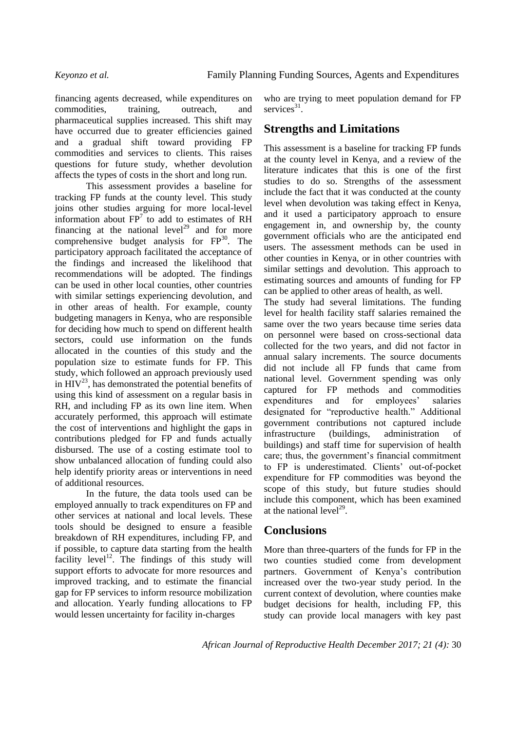financing agents decreased, while expenditures on commodities, training, outreach, and pharmaceutical supplies increased. This shift may have occurred due to greater efficiencies gained and a gradual shift toward providing FP commodities and services to clients. This raises questions for future study, whether devolution affects the types of costs in the short and long run.

This assessment provides a baseline for tracking FP funds at the county level. This study joins other studies arguing for more local-level information about  $FP<sup>7</sup>$  to add to estimates of RH financing at the national level<sup>29</sup> and for more comprehensive budget analysis for  $FP^{30}$ . The participatory approach facilitated the acceptance of the findings and increased the likelihood that recommendations will be adopted. The findings can be used in other local counties, other countries with similar settings experiencing devolution, and in other areas of health. For example, county budgeting managers in Kenya, who are responsible for deciding how much to spend on different health sectors, could use information on the funds allocated in the counties of this study and the population size to estimate funds for FP. This study, which followed an approach previously used in  $HIV^{23}$ , has demonstrated the potential benefits of using this kind of assessment on a regular basis in RH, and including FP as its own line item. When accurately performed, this approach will estimate the cost of interventions and highlight the gaps in contributions pledged for FP and funds actually disbursed. The use of a costing estimate tool to show unbalanced allocation of funding could also help identify priority areas or interventions in need of additional resources.

In the future, the data tools used can be employed annually to track expenditures on FP and other services at national and local levels. These tools should be designed to ensure a feasible breakdown of RH expenditures, including FP, and if possible, to capture data starting from the health facility level<sup>12</sup>. The findings of this study will support efforts to advocate for more resources and improved tracking, and to estimate the financial gap for FP services to inform resource mobilization and allocation. Yearly funding allocations to FP would lessen uncertainty for facility in-charges

who are trying to meet population demand for FP services<sup>31</sup>.

## **Strengths and Limitations**

This assessment is a baseline for tracking FP funds at the county level in Kenya, and a review of the literature indicates that this is one of the first studies to do so. Strengths of the assessment include the fact that it was conducted at the county level when devolution was taking effect in Kenya, and it used a participatory approach to ensure engagement in, and ownership by, the county government officials who are the anticipated end users. The assessment methods can be used in other counties in Kenya, or in other countries with similar settings and devolution. This approach to estimating sources and amounts of funding for FP can be applied to other areas of health, as well.

The study had several limitations. The funding level for health facility staff salaries remained the same over the two years because time series data on personnel were based on cross-sectional data collected for the two years, and did not factor in annual salary increments. The source documents did not include all FP funds that came from national level. Government spending was only captured for FP methods and commodities expenditures and for employees' salaries designated for "reproductive health." Additional government contributions not captured include infrastructure (buildings, administration of buildings) and staff time for supervision of health care; thus, the government's financial commitment to FP is underestimated. Clients' out-of-pocket expenditure for FP commodities was beyond the scope of this study, but future studies should include this component, which has been examined at the national  $level^{29}$ .

## **Conclusions**

More than three-quarters of the funds for FP in the two counties studied come from development partners. Government of Kenya's contribution increased over the two-year study period. In the current context of devolution, where counties make budget decisions for health, including FP, this study can provide local managers with key past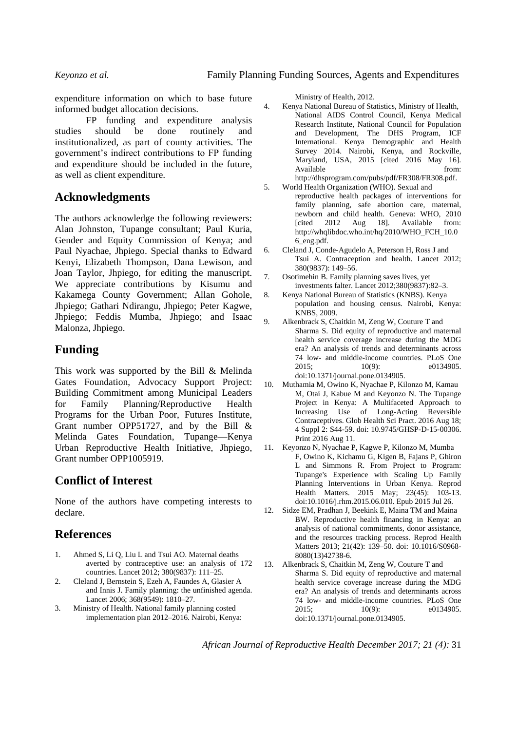expenditure information on which to base future informed budget allocation decisions.

FP funding and expenditure analysis studies should be done routinely and institutionalized, as part of county activities. The government's indirect contributions to FP funding and expenditure should be included in the future, as well as client expenditure.

## **Acknowledgments**

The authors acknowledge the following reviewers: Alan Johnston, Tupange consultant; Paul Kuria, Gender and Equity Commission of Kenya; and Paul Nyachae, Jhpiego. Special thanks to Edward Kenyi, Elizabeth Thompson, Dana Lewison, and Joan Taylor, Jhpiego, for editing the manuscript. We appreciate contributions by Kisumu and Kakamega County Government; Allan Gohole, Jhpiego; Gathari Ndirangu, Jhpiego; Peter Kagwe, Jhpiego; Feddis Mumba, Jhpiego; and Isaac Malonza, Jhpiego.

## **Funding**

This work was supported by the Bill & Melinda Gates Foundation, Advocacy Support Project: Building Commitment among Municipal Leaders for Family Planning/Reproductive Health Programs for the Urban Poor, Futures Institute, Grant number OPP51727, and by the Bill & Melinda Gates Foundation, Tupange—Kenya Urban Reproductive Health Initiative, Jhpiego, Grant number OPP1005919.

## **Conflict of Interest**

None of the authors have competing interests to declare.

## **References**

- 1. Ahmed S, Li Q, Liu L and Tsui AO. Maternal deaths averted by contraceptive use: an analysis of 172 countries. Lancet 2012; 380(9837): 111–25.
- 2. Cleland J, Bernstein S, Ezeh A, Faundes A, Glasier A and Innis J. Family planning: the unfinished agenda. Lancet 2006; 368(9549): 1810–27.
- 3. Ministry of Health. National family planning costed implementation plan 2012–2016. Nairobi, Kenya:

Ministry of Health, 2012.

- 4. Kenya National Bureau of Statistics, Ministry of Health, National AIDS Control Council, Kenya Medical Research Institute, National Council for Population and Development, The DHS Program, ICF International. Kenya Demographic and Health Survey 2014. Nairobi, Kenya, and Rockville, Maryland, USA, 2015 [cited 2016 May 16]. Available from: http://dhsprogram.com/pubs/pdf/FR308/FR308.pdf.
- 5. World Health Organization (WHO). Sexual and reproductive health packages of interventions for family planning, safe abortion care, maternal, newborn and child health. Geneva: WHO, 2010 [cited 2012 Aug 18]. Available from: http://whqlibdoc.who.int/hq/2010/WHO\_FCH\_10.0 6\_eng.pdf.
- 6. Cleland J, Conde-Agudelo A, Peterson H, Ross J and Tsui A. Contraception and health. Lancet 2012; 380(9837): 149–56.
- 7. Osotimehin B. Family planning saves lives, yet investments falter. Lancet 2012;380(9837):82–3.
- 8. Kenya National Bureau of Statistics (KNBS). Kenya population and housing census. Nairobi, Kenya: KNBS, 2009.
- 9. Alkenbrack S, Chaitkin M, Zeng W, Couture T and Sharma S. Did equity of reproductive and maternal health service coverage increase during the MDG era? An analysis of trends and determinants across 74 low- and middle-income countries. PLoS One 2015; 10(9): e0134905. doi:10.1371/journal.pone.0134905.
- 10. Muthamia M, Owino K, Nyachae P, Kilonzo M, Kamau M, Otai J, Kabue M and Keyonzo N. The Tupange Project in Kenya: A Multifaceted Approach to Increasing Use of Long-Acting Reversible Contraceptives. Glob Health Sci Pract. 2016 Aug 18; 4 Suppl 2: S44-59. doi: 10.9745/GHSP-D-15-00306. Print 2016 Aug 11.
- 11. Keyonzo N, Nyachae P, Kagwe P, Kilonzo M, Mumba F, Owino K, Kichamu G, Kigen B, Fajans P, Ghiron L and Simmons R. From Project to Program: Tupange's Experience with Scaling Up Family Planning Interventions in Urban Kenya. Reprod Health Matters. 2015 May; 23(45): 103-13. doi:10.1016/j.rhm.2015.06.010. Epub 2015 Jul 26.
- 12. Sidze EM, Pradhan J, Beekink E, Maina TM and Maina BW. Reproductive health financing in Kenya: an analysis of national commitments, donor assistance, and the resources tracking process. Reprod Health Matters 2013; 21(42): 139–50. doi: 10.1016/S0968- 8080(13)42738-6.
- 13. Alkenbrack S, Chaitkin M, Zeng W, Couture T and Sharma S. Did equity of reproductive and maternal health service coverage increase during the MDG era? An analysis of trends and determinants across 74 low- and middle-income countries. PLoS One 2015; 10(9): e0134905. doi:10.1371/journal.pone.0134905.